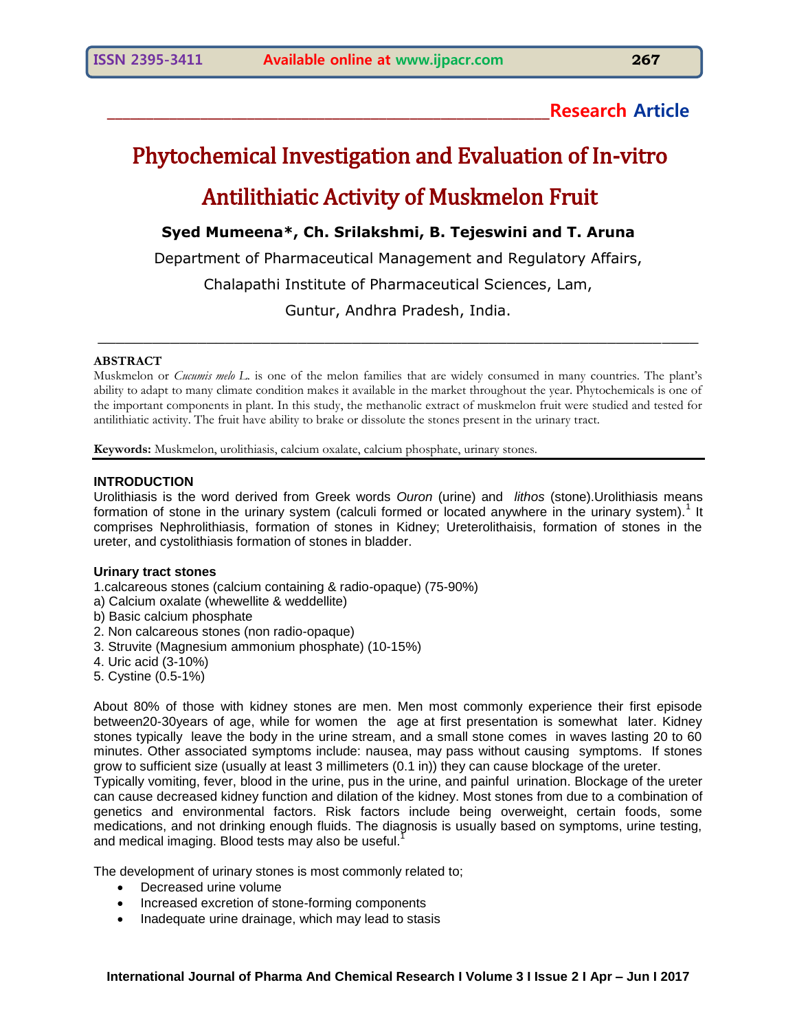# **\_\_\_\_\_\_\_\_\_\_\_\_\_\_\_\_\_\_\_\_\_\_\_\_\_\_\_\_\_\_\_\_\_\_\_\_\_\_\_\_\_\_\_\_\_\_\_\_\_\_\_\_\_\_\_\_\_Research Article**

# Phytochemical Investigation and Evaluation of In-vitro Antilithiatic Activity of Muskmelon Fruit

# **Syed Mumeena\*, Ch. Srilakshmi, B. Tejeswini and T. Aruna**

Department of Pharmaceutical Management and Regulatory Affairs,

Chalapathi Institute of Pharmaceutical Sciences, Lam,

Guntur, Andhra Pradesh, India.

 $\_$  , and the set of the set of the set of the set of the set of the set of the set of the set of the set of the set of the set of the set of the set of the set of the set of the set of the set of the set of the set of th

#### **ABSTRACT**

Muskmelon or *Cucumis melo L*. is one of the melon families that are widely consumed in many countries. The plant's ability to adapt to many climate condition makes it available in the market throughout the year. Phytochemicals is one of the important components in plant. In this study, the methanolic extract of muskmelon fruit were studied and tested for antilithiatic activity. The fruit have ability to brake or dissolute the stones present in the urinary tract.

**Keywords:** Muskmelon, urolithiasis, calcium oxalate, calcium phosphate, urinary stones.

#### **INTRODUCTION**

Urolithiasis is the word derived from Greek words *Ouron* (urine) and *lithos* (stone).Urolithiasis means formation of stone in the urinary system (calculi formed or located anywhere in the urinary system).<sup>1</sup> It comprises Nephrolithiasis, formation of stones in Kidney; Ureterolithaisis, formation of stones in the ureter, and cystolithiasis formation of stones in bladder.

#### **Urinary tract stones**

- 1.calcareous stones (calcium containing & radio-opaque) (75-90%)
- a) Calcium oxalate (whewellite & weddellite)
- b) Basic calcium phosphate
- 2. Non calcareous stones (non radio-opaque)
- 3. Struvite (Magnesium ammonium phosphate) (10-15%)
- 4. Uric acid (3-10%)
- 5. Cystine (0.5-1%)

About 80% of those with kidney stones are men. Men most commonly experience their first episode between20-30years of age, while for women the age at first presentation is somewhat later. Kidney stones typically leave the body in the urine stream, and a small stone comes in waves lasting 20 to 60 minutes. Other associated symptoms include: nausea, may pass without causing symptoms. If stones grow to sufficient size (usually at least 3 millimeters (0.1 in)) they can cause blockage of the ureter.

Typically vomiting, fever, blood in the urine, pus in the urine, and painful urination. Blockage of the ureter can cause decreased kidney function and dilation of the kidney. Most stones from due to a combination of genetics and environmental factors. Risk factors include being overweight, certain foods, some medications, and not drinking enough fluids. The diagnosis is usually based on symptoms, urine testing, and medical imaging. Blood tests may also be useful.<sup>1</sup>

The development of urinary stones is most commonly related to;

- Decreased urine volume
- Increased excretion of stone-forming components
- Inadequate urine drainage, which may lead to stasis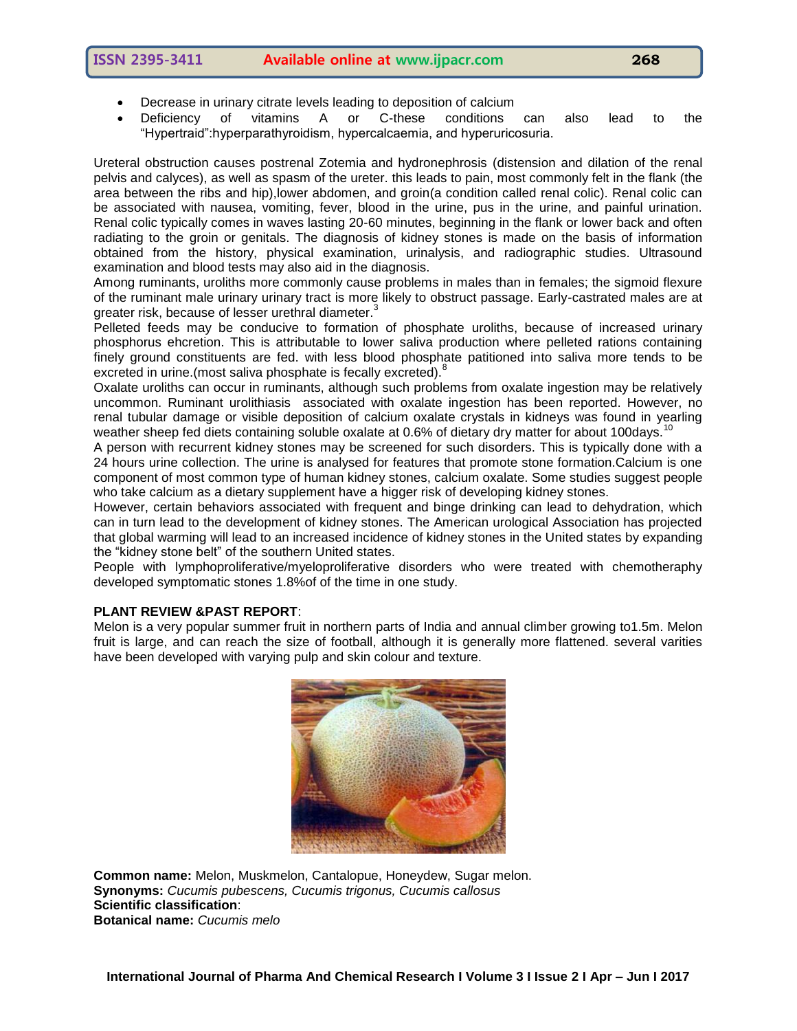- Decrease in urinary citrate levels leading to deposition of calcium
- Deficiency of vitamins A or C-these conditions can also lead to the "Hypertraid":hyperparathyroidism, hypercalcaemia, and hyperuricosuria.

Ureteral obstruction causes postrenal Zotemia and hydronephrosis (distension and dilation of the renal pelvis and calyces), as well as spasm of the ureter. this leads to pain, most commonly felt in the flank (the area between the ribs and hip),lower abdomen, and groin(a condition called renal colic). Renal colic can be associated with nausea, vomiting, fever, blood in the urine, pus in the urine, and painful urination. Renal colic typically comes in waves lasting 20-60 minutes, beginning in the flank or lower back and often radiating to the groin or genitals. The diagnosis of kidney stones is made on the basis of information obtained from the history, physical examination, urinalysis, and radiographic studies. Ultrasound examination and blood tests may also aid in the diagnosis.

Among ruminants, uroliths more commonly cause problems in males than in females; the sigmoid flexure of the ruminant male urinary urinary tract is more likely to obstruct passage. Early-castrated males are at greater risk, because of lesser urethral diameter.<sup>3</sup>

Pelleted feeds may be conducive to formation of phosphate uroliths, because of increased urinary phosphorus ehcretion. This is attributable to lower saliva production where pelleted rations containing finely ground constituents are fed. with less blood phosphate patitioned into saliva more tends to be excreted in urine.(most saliva phosphate is fecally excreted).<sup>8</sup>

Oxalate uroliths can occur in ruminants, although such problems from oxalate ingestion may be relatively uncommon. Ruminant urolithiasis associated with oxalate ingestion has been reported. However, no renal tubular damage or visible deposition of calcium oxalate crystals in kidneys was found in yearling weather sheep fed diets containing soluble oxalate at 0.6% of dietary dry matter for about 100days.<sup>10</sup>

A person with recurrent kidney stones may be screened for such disorders. This is typically done with a 24 hours urine collection. The urine is analysed for features that promote stone formation.Calcium is one component of most common type of human kidney stones, calcium oxalate. Some studies suggest people who take calcium as a dietary supplement have a higger risk of developing kidney stones.

However, certain behaviors associated with frequent and binge drinking can lead to dehydration, which can in turn lead to the development of kidney stones. The American urological Association has projected that global warming will lead to an increased incidence of kidney stones in the United states by expanding the "kidney stone belt" of the southern United states.

People with lymphoproliferative/myeloproliferative disorders who were treated with chemotheraphy developed symptomatic stones 1.8%of of the time in one study.

# **PLANT REVIEW &PAST REPORT**:

Melon is a very popular summer fruit in northern parts of India and annual climber growing to1.5m. Melon fruit is large, and can reach the size of football, although it is generally more flattened. several varities have been developed with varying pulp and skin colour and texture.



**Common name:** Melon, Muskmelon, Cantalopue, Honeydew, Sugar melon. **Synonyms:** *Cucumis pubescens, Cucumis trigonus, Cucumis callosus* **Scientific classification**: **Botanical name:** *Cucumis melo*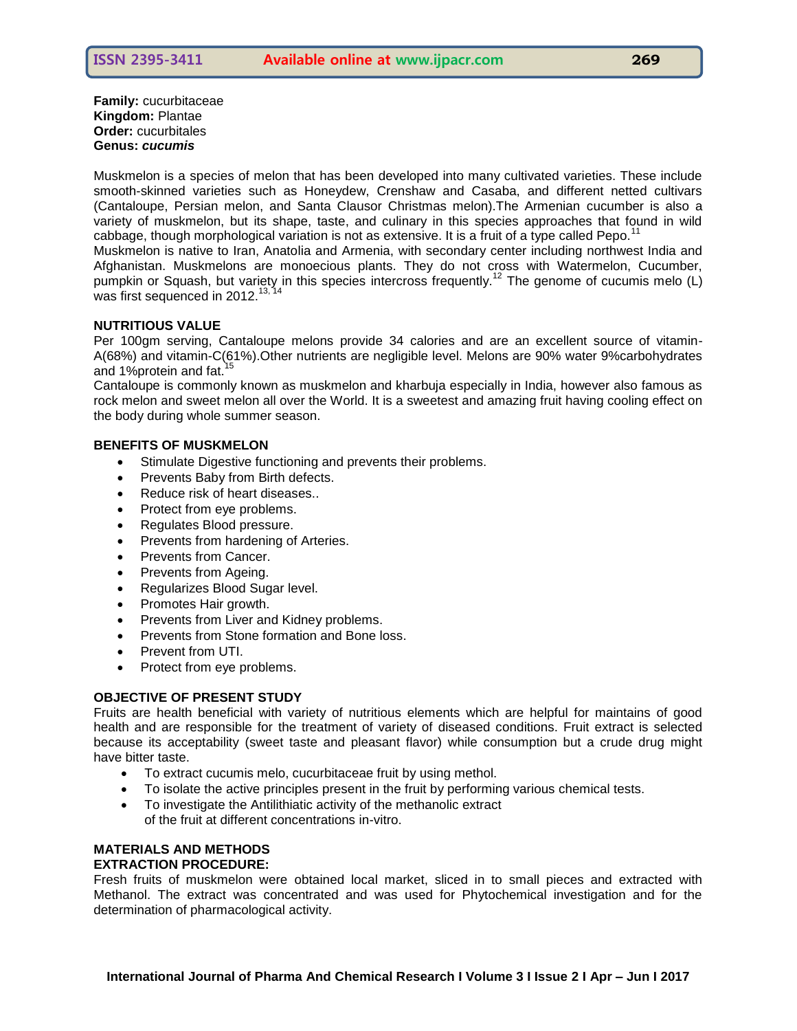**Family:** cucurbitaceae **Kingdom:** Plantae **Order:** cucurbitales **Genus:** *cucumis*

Muskmelon is a species of melon that has been developed into many cultivated varieties. These include smooth-skinned varieties such as Honeydew, Crenshaw and Casaba, and different netted cultivars (Cantaloupe, Persian melon, and Santa Clausor Christmas melon).The Armenian cucumber is also a variety of muskmelon, but its shape, taste, and culinary in this species approaches that found in wild cabbage, though morphological variation is not as extensive. It is a fruit of a type called Pepo.<sup>11</sup>

Muskmelon is native to Iran, Anatolia and Armenia, with secondary center including northwest India and Afghanistan. Muskmelons are monoecious plants. They do not cross with Watermelon, Cucumber, pumpkin or Squash, but variety in this species intercross frequently.<sup>12</sup> The genome of cucumis melo (L) was first sequenced in 2012. $^{13, 14}$ 

#### **NUTRITIOUS VALUE**

Per 100gm serving, Cantaloupe melons provide 34 calories and are an excellent source of vitamin-A(68%) and vitamin-C(61%).Other nutrients are negligible level. Melons are 90% water 9%carbohydrates and 1%protein and fat.<sup>15</sup>

Cantaloupe is commonly known as muskmelon and kharbuja especially in India, however also famous as rock melon and sweet melon all over the World. It is a sweetest and amazing fruit having cooling effect on the body during whole summer season.

#### **BENEFITS OF MUSKMELON**

- Stimulate Digestive functioning and prevents their problems.
- Prevents Baby from Birth defects.
- Reduce risk of heart diseases..
- Protect from eye problems.
- Regulates Blood pressure.
- Prevents from hardening of Arteries.
- Prevents from Cancer.
- Prevents from Ageing.
- Regularizes Blood Sugar level.
- Promotes Hair growth.
- Prevents from Liver and Kidney problems.
- Prevents from Stone formation and Bone loss.
- Prevent from UTI.
- Protect from eye problems.

# **OBJECTIVE OF PRESENT STUDY**

Fruits are health beneficial with variety of nutritious elements which are helpful for maintains of good health and are responsible for the treatment of variety of diseased conditions. Fruit extract is selected because its acceptability (sweet taste and pleasant flavor) while consumption but a crude drug might have bitter taste.

- To extract cucumis melo, cucurbitaceae fruit by using methol.
- To isolate the active principles present in the fruit by performing various chemical tests.
- To investigate the Antilithiatic activity of the methanolic extract of the fruit at different concentrations in-vitro.

# **MATERIALS AND METHODS EXTRACTION PROCEDURE:**

Fresh fruits of muskmelon were obtained local market, sliced in to small pieces and extracted with Methanol. The extract was concentrated and was used for Phytochemical investigation and for the determination of pharmacological activity.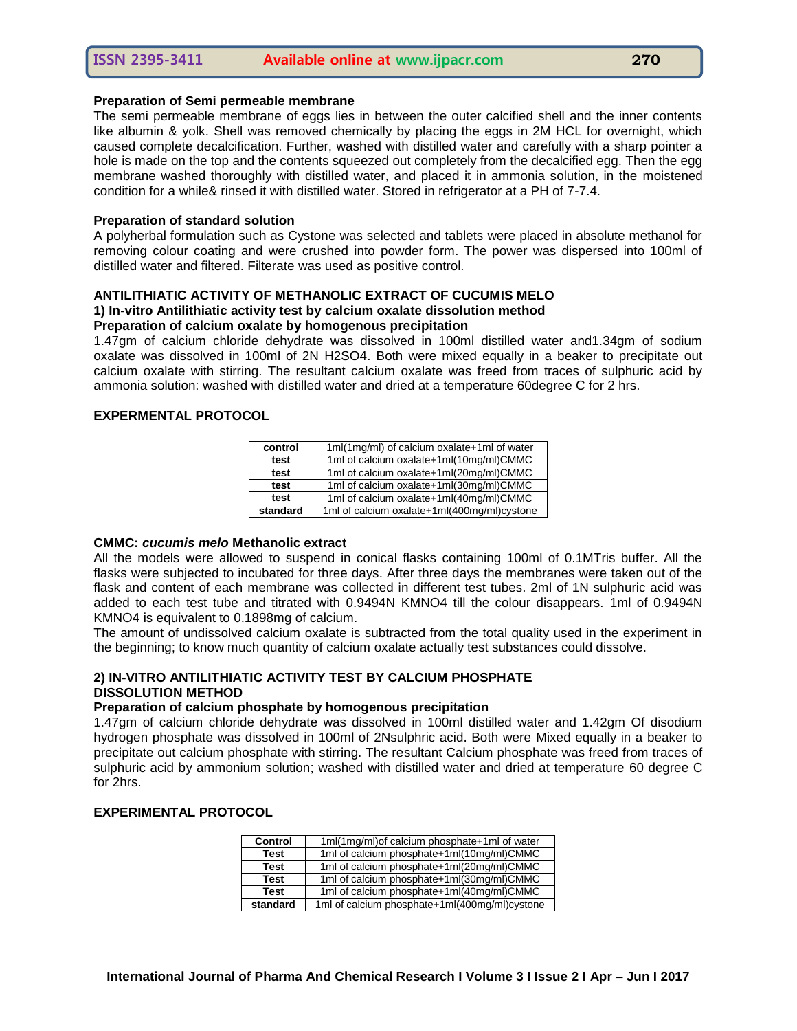#### **Preparation of Semi permeable membrane**

The semi permeable membrane of eggs lies in between the outer calcified shell and the inner contents like albumin & yolk. Shell was removed chemically by placing the eggs in 2M HCL for overnight, which caused complete decalcification. Further, washed with distilled water and carefully with a sharp pointer a hole is made on the top and the contents squeezed out completely from the decalcified egg. Then the egg membrane washed thoroughly with distilled water, and placed it in ammonia solution, in the moistened condition for a while& rinsed it with distilled water. Stored in refrigerator at a PH of 7-7.4.

#### **Preparation of standard solution**

A polyherbal formulation such as Cystone was selected and tablets were placed in absolute methanol for removing colour coating and were crushed into powder form. The power was dispersed into 100ml of distilled water and filtered. Filterate was used as positive control.

# **ANTILITHIATIC ACTIVITY OF METHANOLIC EXTRACT OF CUCUMIS MELO**

#### **1) In-vitro Antilithiatic activity test by calcium oxalate dissolution method Preparation of calcium oxalate by homogenous precipitation**

1.47gm of calcium chloride dehydrate was dissolved in 100ml distilled water and1.34gm of sodium oxalate was dissolved in 100ml of 2N H2SO4. Both were mixed equally in a beaker to precipitate out calcium oxalate with stirring. The resultant calcium oxalate was freed from traces of sulphuric acid by ammonia solution: washed with distilled water and dried at a temperature 60degree C for 2 hrs.

#### **EXPERMENTAL PROTOCOL**

| control  | 1ml(1mg/ml) of calcium oxalate+1ml of water |
|----------|---------------------------------------------|
| test     | 1ml of calcium oxalate+1ml(10mg/ml)CMMC     |
| test     | 1ml of calcium oxalate+1ml(20mg/ml)CMMC     |
| test     | 1ml of calcium oxalate+1ml(30mg/ml)CMMC     |
| test     | 1ml of calcium oxalate+1ml(40mg/ml)CMMC     |
| standard | 1ml of calcium oxalate+1ml(400mg/ml)cystone |

#### **CMMC:** *cucumis melo* **Methanolic extract**

All the models were allowed to suspend in conical flasks containing 100ml of 0.1MTris buffer. All the flasks were subjected to incubated for three days. After three days the membranes were taken out of the flask and content of each membrane was collected in different test tubes. 2ml of 1N sulphuric acid was added to each test tube and titrated with 0.9494N KMNO4 till the colour disappears. 1ml of 0.9494N KMNO4 is equivalent to 0.1898mg of calcium.

The amount of undissolved calcium oxalate is subtracted from the total quality used in the experiment in the beginning; to know much quantity of calcium oxalate actually test substances could dissolve.

### **2) IN-VITRO ANTILITHIATIC ACTIVITY TEST BY CALCIUM PHOSPHATE DISSOLUTION METHOD**

#### **Preparation of calcium phosphate by homogenous precipitation**

1.47gm of calcium chloride dehydrate was dissolved in 100ml distilled water and 1.42gm Of disodium hydrogen phosphate was dissolved in 100ml of 2Nsulphric acid. Both were Mixed equally in a beaker to precipitate out calcium phosphate with stirring. The resultant Calcium phosphate was freed from traces of sulphuric acid by ammonium solution; washed with distilled water and dried at temperature 60 degree C for 2hrs.

# **EXPERIMENTAL PROTOCOL**

| <b>Control</b> | 1ml(1mg/ml) of calcium phosphate+1ml of water |
|----------------|-----------------------------------------------|
| <b>Test</b>    | 1ml of calcium phosphate+1ml(10mg/ml)CMMC     |
| <b>Test</b>    | 1ml of calcium phosphate+1ml(20mg/ml)CMMC     |
| <b>Test</b>    | 1ml of calcium phosphate+1ml(30mg/ml)CMMC     |
| <b>Test</b>    | 1ml of calcium phosphate+1ml(40mg/ml)CMMC     |
| standard       | 1ml of calcium phosphate+1ml(400mg/ml)cystone |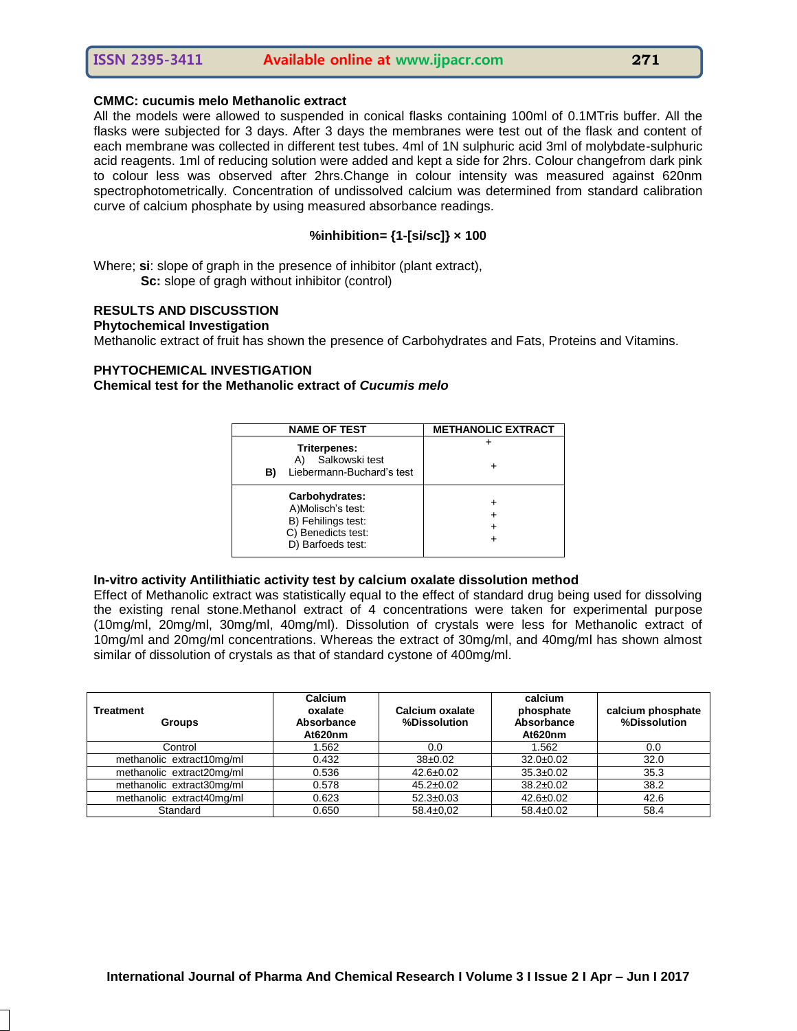#### **CMMC: cucumis melo Methanolic extract**

All the models were allowed to suspended in conical flasks containing 100ml of 0.1MTris buffer. All the flasks were subjected for 3 days. After 3 days the membranes were test out of the flask and content of each membrane was collected in different test tubes. 4ml of 1N sulphuric acid 3ml of molybdate-sulphuric acid reagents. 1ml of reducing solution were added and kept a side for 2hrs. Colour changefrom dark pink to colour less was observed after 2hrs.Change in colour intensity was measured against 620nm spectrophotometrically. Concentration of undissolved calcium was determined from standard calibration curve of calcium phosphate by using measured absorbance readings.

#### **%inhibition= {1-[si/sc]} × 100**

Where; **si**: slope of graph in the presence of inhibitor (plant extract), **Sc:** slope of gragh without inhibitor (control)

#### **RESULTS AND DISCUSSTION**

#### **Phytochemical Investigation**

Methanolic extract of fruit has shown the presence of Carbohydrates and Fats, Proteins and Vitamins.

#### **PHYTOCHEMICAL INVESTIGATION**

#### **Chemical test for the Methanolic extract of** *Cucumis melo*

| <b>NAME OF TEST</b>                                                                                  | <b>METHANOLIC EXTRACT</b> |  |
|------------------------------------------------------------------------------------------------------|---------------------------|--|
| <b>Triterpenes:</b><br>Salkowski test<br>Liebermann-Buchard's test<br>B)                             |                           |  |
| Carbohydrates:<br>A)Molisch's test:<br>B) Fehilings test:<br>C) Benedicts test:<br>D) Barfoeds test: |                           |  |

#### **In-vitro activity Antilithiatic activity test by calcium oxalate dissolution method**

Effect of Methanolic extract was statistically equal to the effect of standard drug being used for dissolving the existing renal stone.Methanol extract of 4 concentrations were taken for experimental purpose (10mg/ml, 20mg/ml, 30mg/ml, 40mg/ml). Dissolution of crystals were less for Methanolic extract of 10mg/ml and 20mg/ml concentrations. Whereas the extract of 30mg/ml, and 40mg/ml has shown almost similar of dissolution of crystals as that of standard cystone of 400mg/ml.

| <b>Treatment</b><br><b>Groups</b> | Calcium<br>oxalate<br>Absorbance<br>At620nm | Calcium oxalate<br>%Dissolution | calcium<br>phosphate<br>Absorbance<br>At620nm | calcium phosphate<br>%Dissolution |
|-----------------------------------|---------------------------------------------|---------------------------------|-----------------------------------------------|-----------------------------------|
| Control                           | 1.562                                       | 0.0                             | 1.562                                         | 0.0                               |
| methanolic extract10mg/ml         | 0.432                                       | $38+0.02$                       | $32.0 \pm 0.02$                               | 32.0                              |
| methanolic extract20mg/ml         | 0.536                                       | $42.6 \pm 0.02$                 | $35.3 \pm 0.02$                               | 35.3                              |
| methanolic extract30mg/ml         | 0.578                                       | $45.2 \pm 0.02$                 | $38.2 \pm 0.02$                               | 38.2                              |
| methanolic extract40mg/ml         | 0.623                                       | $52.3 \pm 0.03$                 | $42.6 \pm 0.02$                               | 42.6                              |
| Standard                          | 0.650                                       | $58.4 \pm 0.02$                 | $58.4 \pm 0.02$                               | 58.4                              |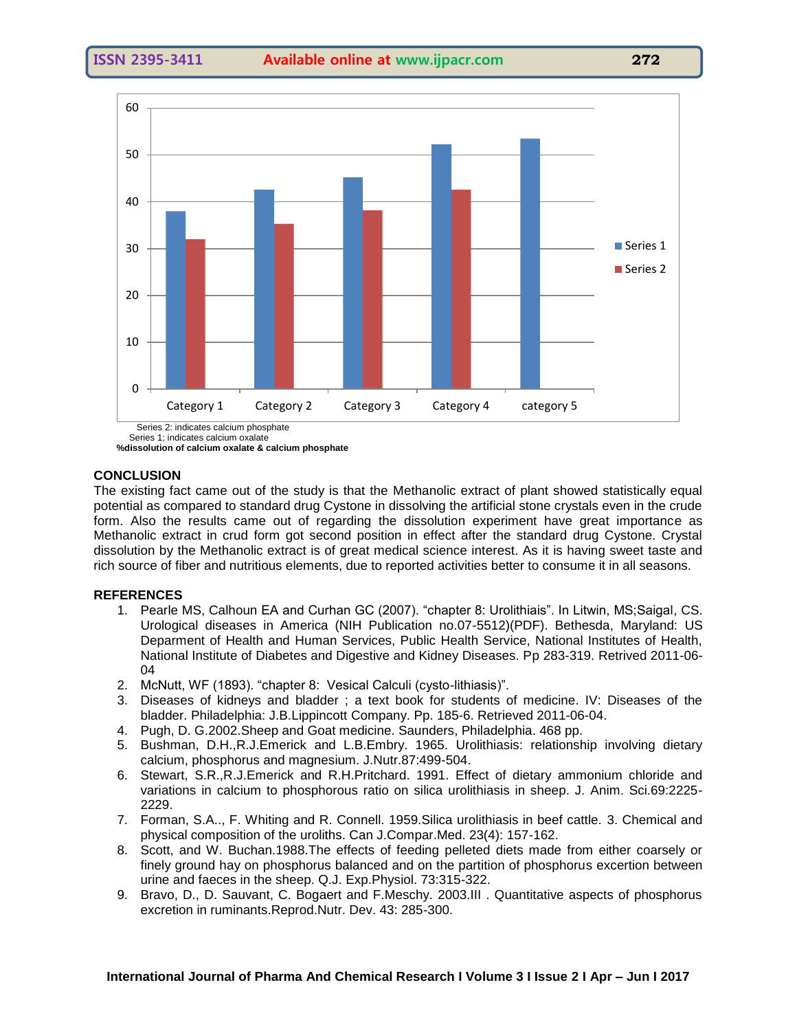

Series 1; indicates calcium oxalate  **%dissolution of calcium oxalate & calcium phosphate**

#### **CONCLUSION**

The existing fact came out of the study is that the Methanolic extract of plant showed statistically equal potential as compared to standard drug Cystone in dissolving the artificial stone crystals even in the crude form. Also the results came out of regarding the dissolution experiment have great importance as Methanolic extract in crud form got second position in effect after the standard drug Cystone. Crystal dissolution by the Methanolic extract is of great medical science interest. As it is having sweet taste and rich source of fiber and nutritious elements, due to reported activities better to consume it in all seasons.

#### **REFERENCES**

- 1. Pearle MS, Calhoun EA and Curhan GC (2007). "chapter 8: Urolithiais". In Litwin, MS;Saigal, CS. Urological diseases in America (NIH Publication no.07-5512)(PDF). Bethesda, Maryland: US Deparment of Health and Human Services, Public Health Service, National Institutes of Health, National Institute of Diabetes and Digestive and Kidney Diseases. Pp 283-319. Retrived 2011-06- 04
- 2. McNutt, WF (1893). "chapter 8: Vesical Calculi (cysto-lithiasis)".
- 3. Diseases of kidneys and bladder ; a text book for students of medicine. IV: Diseases of the bladder. Philadelphia: J.B.Lippincott Company. Pp. 185-6. Retrieved 2011-06-04.
- 4. Pugh, D. G.2002.Sheep and Goat medicine. Saunders, Philadelphia. 468 pp.
- 5. Bushman, D.H.,R.J.Emerick and L.B.Embry. 1965. Urolithiasis: relationship involving dietary calcium, phosphorus and magnesium. J.Nutr.87:499-504.
- 6. Stewart, S.R.,R.J.Emerick and R.H.Pritchard. 1991. Effect of dietary ammonium chloride and variations in calcium to phosphorous ratio on silica urolithiasis in sheep. J. Anim. Sci.69:2225- 2229.
- 7. Forman, S.A.., F. Whiting and R. Connell. 1959.Silica urolithiasis in beef cattle. 3. Chemical and physical composition of the uroliths. Can J.Compar.Med. 23(4): 157-162.
- 8. Scott, and W. Buchan.1988.The effects of feeding pelleted diets made from either coarsely or finely ground hay on phosphorus balanced and on the partition of phosphorus excertion between urine and faeces in the sheep. Q.J. Exp.Physiol. 73:315-322.
- 9. Bravo, D., D. Sauvant, C. Bogaert and F.Meschy. 2003.III . Quantitative aspects of phosphorus excretion in ruminants.Reprod.Nutr. Dev. 43: 285-300.